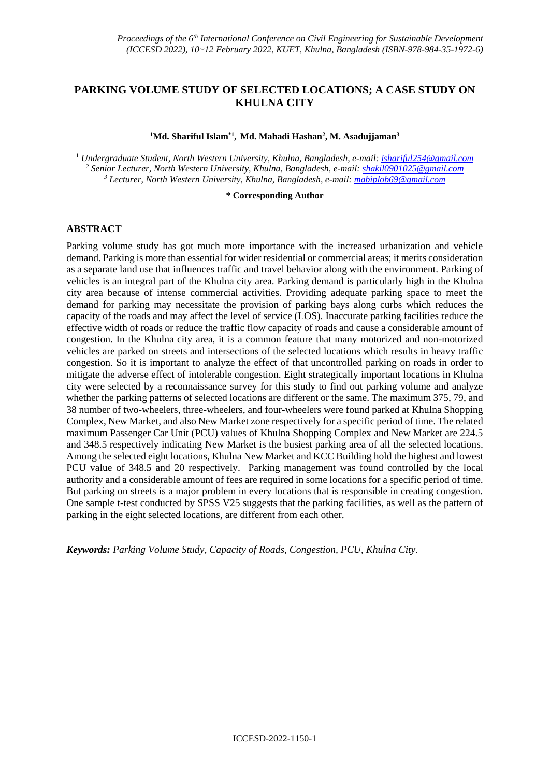## **PARKING VOLUME STUDY OF SELECTED LOCATIONS; A CASE STUDY ON KHULNA CITY**

#### **<sup>1</sup>Md. Shariful Islam\*1 , Md. Mahadi Hashan<sup>2</sup> , M. Asadujjaman<sup>3</sup>**

<sup>1</sup> *Undergraduate Student, North Western University, Khulna, Bangladesh, e-mail: [ishariful254@gmail.com](mailto:ishariful254@gmail.com) <sup>2</sup> Senior Lecturer, North Western University, Khulna, Bangladesh, e-mail[: shakil0901025@gmail.com](mailto:shakil0901025@gmail.com) <sup>3</sup> Lecturer, North Western University, Khulna, Bangladesh, e-mail: [mabiplob69@gmail.com](mailto:mabiplob69@gmail.com)*

#### **\* Corresponding Author**

### **ABSTRACT**

Parking volume study has got much more importance with the increased urbanization and vehicle demand. Parking is more than essential for wider residential or commercial areas; it merits consideration as a separate land use that influences traffic and travel behavior along with the environment. Parking of vehicles is an integral part of the Khulna city area. Parking demand is particularly high in the Khulna city area because of intense commercial activities. Providing adequate parking space to meet the demand for parking may necessitate the provision of parking bays along curbs which reduces the capacity of the roads and may affect the level of service (LOS). Inaccurate parking facilities reduce the effective width of roads or reduce the traffic flow capacity of roads and cause a considerable amount of congestion. In the Khulna city area, it is a common feature that many motorized and non-motorized vehicles are parked on streets and intersections of the selected locations which results in heavy traffic congestion. So it is important to analyze the effect of that uncontrolled parking on roads in order to mitigate the adverse effect of intolerable congestion. Eight strategically important locations in Khulna city were selected by a reconnaissance survey for this study to find out parking volume and analyze whether the parking patterns of selected locations are different or the same. The maximum 375, 79, and 38 number of two-wheelers, three-wheelers, and four-wheelers were found parked at Khulna Shopping Complex, New Market, and also New Market zone respectively for a specific period of time. The related maximum Passenger Car Unit (PCU) values of Khulna Shopping Complex and New Market are 224.5 and 348.5 respectively indicating New Market is the busiest parking area of all the selected locations. Among the selected eight locations, Khulna New Market and KCC Building hold the highest and lowest PCU value of 348.5 and 20 respectively. Parking management was found controlled by the local authority and a considerable amount of fees are required in some locations for a specific period of time. But parking on streets is a major problem in every locations that is responsible in creating congestion. One sample t-test conducted by SPSS V25 suggests that the parking facilities, as well as the pattern of parking in the eight selected locations, are different from each other.

*Keywords: Parking Volume Study, Capacity of Roads, Congestion, PCU, Khulna City.*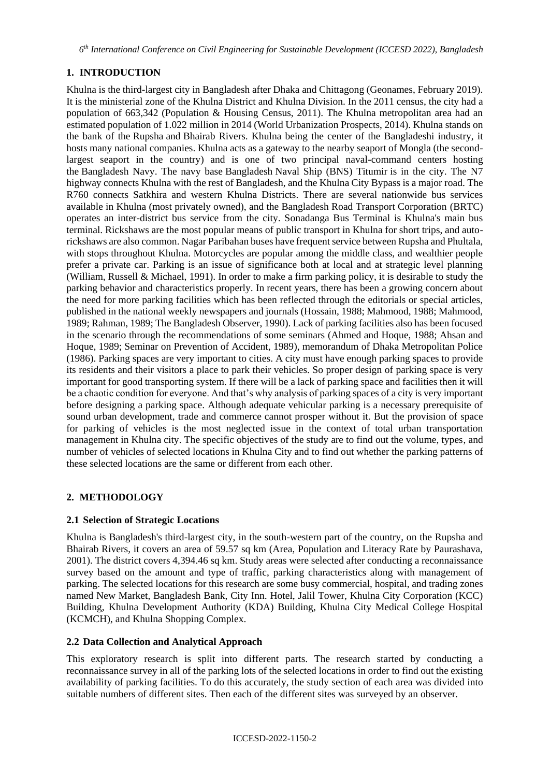*6 th International Conference on Civil Engineering for Sustainable Development (ICCESD 2022), Bangladesh*

# **1. INTRODUCTION**

Khulna is the third-largest city in Bangladesh after Dhaka and Chittagong (Geonames, February 2019). It is the ministerial zone of the Khulna District and Khulna Division. In the 2011 census, the city had a population of 663,342 (Population & Housing Census, 2011). The Khulna metropolitan area had an estimated population of 1.022 million in 2014 (World Urbanization Prospects, 2014). Khulna stands on the bank of the Rupsha and Bhairab Rivers. Khulna being the center of the Bangladeshi industry, it hosts many national companies. Khulna acts as a gateway to the nearby seaport of Mongla (the secondlargest seaport in the country) and is one of two principal naval-command centers hosting the Bangladesh Navy. The navy base Bangladesh Naval Ship (BNS) Titumir is in the city. The N7 highway connects Khulna with the rest of Bangladesh, and the Khulna City Bypass is a major road. The R760 connects Satkhira and western Khulna Districts. There are several nationwide bus services available in Khulna (most privately owned), and the Bangladesh Road Transport Corporation (BRTC) operates an inter-district bus service from the city. Sonadanga Bus Terminal is Khulna's main bus terminal. Rickshaws are the most popular means of public transport in Khulna for short trips, and autorickshaws are also common. Nagar Paribahan buses have frequent service between Rupsha and Phultala, with stops throughout Khulna. Motorcycles are popular among the middle class, and wealthier people prefer a private car. Parking is an issue of significance both at local and at strategic level planning (William, Russell & Michael, 1991). In order to make a firm parking policy, it is desirable to study the parking behavior and characteristics properly. In recent years, there has been a growing concern about the need for more parking facilities which has been reflected through the editorials or special articles, published in the national weekly newspapers and journals (Hossain, 1988; Mahmood, 1988; Mahmood, 1989; Rahman, 1989; The Bangladesh Observer, 1990). Lack of parking facilities also has been focused in the scenario through the recommendations of some seminars (Ahmed and Hoque, 1988; Ahsan and Hoque, 1989; Seminar on Prevention of Accident, 1989), memorandum of Dhaka Metropolitan Police (1986). Parking spaces are very important to cities. A city must have enough parking spaces to provide its residents and their visitors a place to park their vehicles. So proper design of parking space is very important for good transporting system. If there will be a lack of parking space and facilities then it will be a chaotic condition for everyone. And that's why analysis of parking spaces of a city is very important before designing a parking space. Although adequate vehicular parking is a necessary prerequisite of sound urban development, trade and commerce cannot prosper without it. But the provision of space for parking of vehicles is the most neglected issue in the context of total urban transportation management in Khulna city. The specific objectives of the study are to find out the volume, types, and number of vehicles of selected locations in Khulna City and to find out whether the parking patterns of these selected locations are the same or different from each other.

## **2. METHODOLOGY**

## **2.1 Selection of Strategic Locations**

Khulna is Bangladesh's third-largest city, in the south-western part of the country, on the Rupsha and Bhairab Rivers, it covers an area of 59.57 sq km (Area, Population and Literacy Rate by Paurashava, 2001). The district covers 4,394.46 sq km. Study areas were selected after conducting a reconnaissance survey based on the amount and type of traffic, parking characteristics along with management of parking. The selected locations for this research are some busy commercial, hospital, and trading zones named New Market, Bangladesh Bank, City Inn. Hotel, Jalil Tower, Khulna City Corporation (KCC) Building, Khulna Development Authority (KDA) Building, Khulna City Medical College Hospital (KCMCH), and Khulna Shopping Complex.

## **2.2 Data Collection and Analytical Approach**

This exploratory research is split into different parts. The research started by conducting a reconnaissance survey in all of the parking lots of the selected locations in order to find out the existing availability of parking facilities. To do this accurately, the study section of each area was divided into suitable numbers of different sites. Then each of the different sites was surveyed by an observer.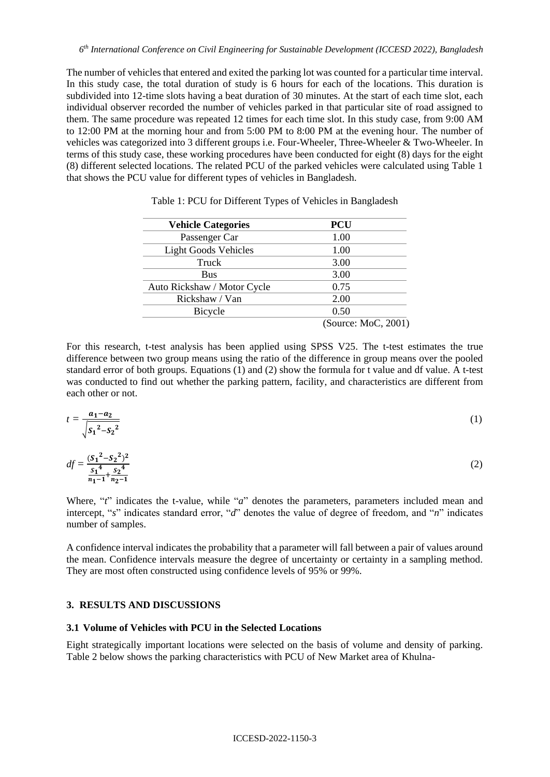The number of vehicles that entered and exited the parking lot was counted for a particular time interval. In this study case, the total duration of study is 6 hours for each of the locations. This duration is subdivided into 12-time slots having a beat duration of 30 minutes. At the start of each time slot, each individual observer recorded the number of vehicles parked in that particular site of road assigned to them. The same procedure was repeated 12 times for each time slot. In this study case, from 9:00 AM to 12:00 PM at the morning hour and from 5:00 PM to 8:00 PM at the evening hour. The number of vehicles was categorized into 3 different groups i.e. Four-Wheeler, Three-Wheeler & Two-Wheeler. In terms of this study case, these working procedures have been conducted for eight (8) days for the eight (8) different selected locations. The related PCU of the parked vehicles were calculated using Table 1 that shows the PCU value for different types of vehicles in Bangladesh.

| <b>Vehicle Categories</b>   | <b>PCU</b>          |
|-----------------------------|---------------------|
| Passenger Car               | 1.00                |
| <b>Light Goods Vehicles</b> | 1.00                |
| Truck                       | 3.00                |
| <b>Bus</b>                  | 3.00                |
| Auto Rickshaw / Motor Cycle | 0.75                |
| Rickshaw / Van              | 2.00                |
| Bicycle                     | 0.50                |
|                             | (Source: MoC, 2001) |

Table 1: PCU for Different Types of Vehicles in Bangladesh

For this research, t-test analysis has been applied using SPSS V25. The t-test estimates the true difference between two group means using the ratio of the difference in group means over the pooled standard error of both groups. Equations (1) and (2) show the formula for t value and df value. A t-test was conducted to find out whether the parking pattern, facility, and characteristics are different from each other or not.

$$
t = \frac{a_1 - a_2}{\sqrt{{s_1}^2 - {s_2}^2}}
$$
 (1)

$$
df = \frac{(S_1^2 - S_2^2)^2}{S_1^4 + S_2^4}
$$
 (2)

Where, "*t*" indicates the t-value, while "*a*" denotes the parameters, parameters included mean and intercept, "*s*" indicates standard error, "*d*" denotes the value of degree of freedom, and "*n*" indicates number of samples.

A confidence interval indicates the probability that a parameter will fall between a pair of values around the mean. Confidence intervals measure the degree of uncertainty or certainty in a sampling method. They are most often constructed using confidence levels of 95% or 99%.

### **3. RESULTS AND DISCUSSIONS**

### **3.1 Volume of Vehicles with PCU in the Selected Locations**

Eight strategically important locations were selected on the basis of volume and density of parking. Table 2 below shows the parking characteristics with PCU of New Market area of Khulna-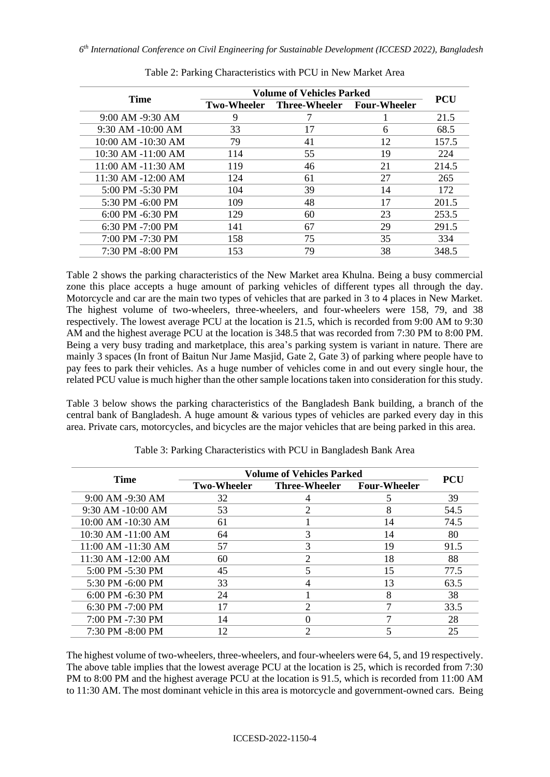| <b>Time</b>          | <b>Volume of Vehicles Parked</b> | <b>PCU</b>                 |    |       |
|----------------------|----------------------------------|----------------------------|----|-------|
|                      | <b>Two-Wheeler</b>               | Three-Wheeler Four-Wheeler |    |       |
| 9:00 AM -9:30 AM     | 9                                |                            |    | 21.5  |
| 9:30 AM -10:00 AM    | 33                               | 17                         | 6  | 68.5  |
| 10:00 AM -10:30 AM   | 79                               | 41                         | 12 | 157.5 |
| 10:30 AM -11:00 AM   | 114                              | 55                         | 19 | 224   |
| 11:00 AM -11:30 AM   | 119                              | 46                         | 21 | 214.5 |
| 11:30 AM -12:00 AM   | 124                              | 61                         | 27 | 265   |
| 5:00 PM -5:30 PM     | 104                              | 39                         | 14 | 172   |
| 5:30 PM -6:00 PM     | 109                              | 48                         | 17 | 201.5 |
| $6:00$ PM $-6:30$ PM | 129                              | 60                         | 23 | 253.5 |
| $6:30$ PM $-7:00$ PM | 141                              | 67                         | 29 | 291.5 |
| 7:00 PM -7:30 PM     | 158                              | 75                         | 35 | 334   |
| $7:30$ PM $-8:00$ PM | 153                              | 79                         | 38 | 348.5 |
|                      |                                  |                            |    |       |

Table 2: Parking Characteristics with PCU in New Market Area

Table 2 shows the parking characteristics of the New Market area Khulna. Being a busy commercial zone this place accepts a huge amount of parking vehicles of different types all through the day. Motorcycle and car are the main two types of vehicles that are parked in 3 to 4 places in New Market. The highest volume of two-wheelers, three-wheelers, and four-wheelers were 158, 79, and 38 respectively. The lowest average PCU at the location is 21.5, which is recorded from 9:00 AM to 9:30 AM and the highest average PCU at the location is 348.5 that was recorded from 7:30 PM to 8:00 PM. Being a very busy trading and marketplace, this area's parking system is variant in nature. There are mainly 3 spaces (In front of Baitun Nur Jame Masjid, Gate 2, Gate 3) of parking where people have to pay fees to park their vehicles. As a huge number of vehicles come in and out every single hour, the related PCU value is much higher than the other sample locations taken into consideration for this study.

Table 3 below shows the parking characteristics of the Bangladesh Bank building, a branch of the central bank of Bangladesh. A huge amount & various types of vehicles are parked every day in this area. Private cars, motorcycles, and bicycles are the major vehicles that are being parked in this area.

| <b>Time</b>           | <b>Volume of Vehicles Parked</b> |                      |                     |            |
|-----------------------|----------------------------------|----------------------|---------------------|------------|
|                       | <b>Two-Wheeler</b>               | <b>Three-Wheeler</b> | <b>Four-Wheeler</b> | <b>PCU</b> |
| 9:00 AM -9:30 AM      | 32                               |                      |                     | 39         |
| $9:30$ AM $-10:00$ AM | 53                               |                      | 8                   | 54.5       |
| 10:00 AM -10:30 AM    | 61                               |                      | 14                  | 74.5       |
| 10:30 AM -11:00 AM    | 64                               |                      | 14                  | 80         |
| 11:00 AM -11:30 AM    | 57                               | 3                    | 19                  | 91.5       |
| 11:30 AM -12:00 AM    | 60                               | $\mathcal{D}$        | 18                  | 88         |
| 5:00 PM -5:30 PM      | 45                               |                      | 15                  | 77.5       |
| 5:30 PM -6:00 PM      | 33                               |                      | 13                  | 63.5       |
| $6:00$ PM $-6:30$ PM  | 24                               |                      | 8                   | 38         |
| $6:30$ PM $-7:00$ PM  | 17                               | 2                    |                     | 33.5       |
| 7:00 PM -7:30 PM      | 14                               |                      | ┑                   | 28         |
| 7:30 PM -8:00 PM      | 12                               | ↑                    |                     | 25         |

Table 3: Parking Characteristics with PCU in Bangladesh Bank Area

The highest volume of two-wheelers, three-wheelers, and four-wheelers were 64, 5, and 19 respectively. The above table implies that the lowest average PCU at the location is 25, which is recorded from 7:30 PM to 8:00 PM and the highest average PCU at the location is 91.5, which is recorded from 11:00 AM to 11:30 AM. The most dominant vehicle in this area is motorcycle and government-owned cars. Being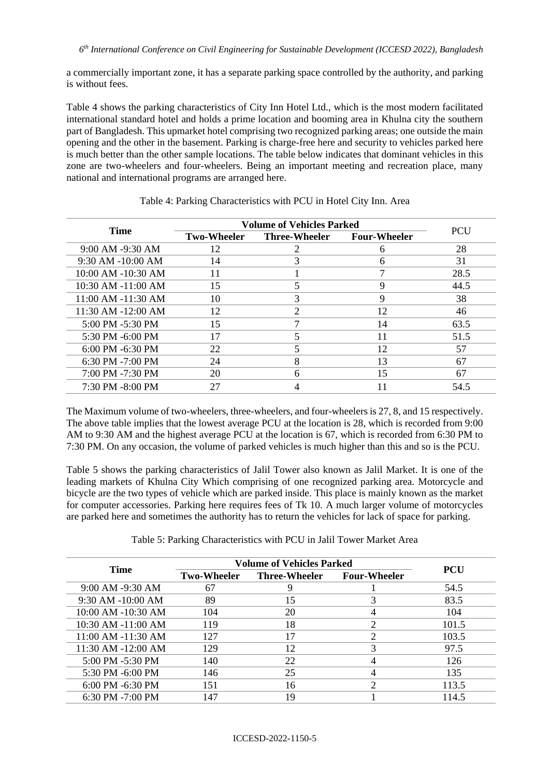a commercially important zone, it has a separate parking space controlled by the authority, and parking is without fees.

Table 4 shows the parking characteristics of City Inn Hotel Ltd., which is the most modern facilitated international standard hotel and holds a prime location and booming area in Khulna city the southern part of Bangladesh. This upmarket hotel comprising two recognized parking areas; one outside the main opening and the other in the basement. Parking is charge-free here and security to vehicles parked here is much better than the other sample locations. The table below indicates that dominant vehicles in this zone are two-wheelers and four-wheelers. Being an important meeting and recreation place, many national and international programs are arranged here.

|                        | <b>Volume of Vehicles Parked</b> |                      |                     |      |
|------------------------|----------------------------------|----------------------|---------------------|------|
| <b>Time</b>            | <b>Two-Wheeler</b>               | <b>Three-Wheeler</b> | <b>Four-Wheeler</b> | PCU  |
| 9:00 AM -9:30 AM       | 12                               |                      | n                   | 28   |
| $9:30$ AM $-10:00$ AM  | 14                               |                      | 6                   | 31   |
| 10:00 AM -10:30 AM     | 11                               |                      |                     | 28.5 |
| $10:30$ AM $-11:00$ AM | 15                               |                      | 9                   | 44.5 |
| 11:00 AM -11:30 AM     | 10                               | 3                    | 9                   | 38   |
| 11:30 AM -12:00 AM     | 12                               | $\overline{c}$       | 12                  | 46   |
| 5:00 PM -5:30 PM       | 15                               |                      | 14                  | 63.5 |
| 5:30 PM -6:00 PM       | 17                               |                      | 11                  | 51.5 |
| $6:00$ PM $-6:30$ PM   | 22                               |                      | 12                  | 57   |
| $6:30$ PM $-7:00$ PM   | 24                               | 8                    | 13                  | 67   |
| 7:00 PM -7:30 PM       | 20                               | 6                    | 15                  | 67   |
| 7:30 PM -8:00 PM       | 27                               |                      |                     | 54.5 |

Table 4: Parking Characteristics with PCU in Hotel City Inn. Area

The Maximum volume of two-wheelers, three-wheelers, and four-wheelers is 27, 8, and 15 respectively. The above table implies that the lowest average PCU at the location is 28, which is recorded from 9:00 AM to 9:30 AM and the highest average PCU at the location is 67, which is recorded from 6:30 PM to 7:30 PM. On any occasion, the volume of parked vehicles is much higher than this and so is the PCU.

Table 5 shows the parking characteristics of Jalil Tower also known as Jalil Market. It is one of the leading markets of Khulna City Which comprising of one recognized parking area. Motorcycle and bicycle are the two types of vehicle which are parked inside. This place is mainly known as the market for computer accessories. Parking here requires fees of Tk 10. A much larger volume of motorcycles are parked here and sometimes the authority has to return the vehicles for lack of space for parking.

| Table 5: Parking Characteristics with PCU in Jalil Tower Market Area |  |  |  |
|----------------------------------------------------------------------|--|--|--|
|                                                                      |  |  |  |

| <b>Time</b>           |                    | <b>Volume of Vehicles Parked</b> |                     |            |
|-----------------------|--------------------|----------------------------------|---------------------|------------|
|                       | <b>Two-Wheeler</b> | <b>Three-Wheeler</b>             | <b>Four-Wheeler</b> | <b>PCU</b> |
| 9:00 AM -9:30 AM      | 67                 |                                  |                     | 54.5       |
| $9:30$ AM $-10:00$ AM | 89                 | 15                               |                     | 83.5       |
| 10:00 AM -10:30 AM    | 104                | 20                               |                     | 104        |
| 10:30 AM -11:00 AM    | 119                | 18                               |                     | 101.5      |
| 11:00 AM -11:30 AM    | 127                |                                  |                     | 103.5      |
| 11:30 AM -12:00 AM    | 129                | 12                               |                     | 97.5       |
| 5:00 PM -5:30 PM      | 140                | 22                               |                     | 126        |
| 5:30 PM -6:00 PM      | 146                | 25                               |                     | 135        |
| $6:00$ PM $-6:30$ PM  | 151                | 16                               |                     | 113.5      |
| $6:30$ PM $-7:00$ PM  | 147                | 19                               |                     | 114.5      |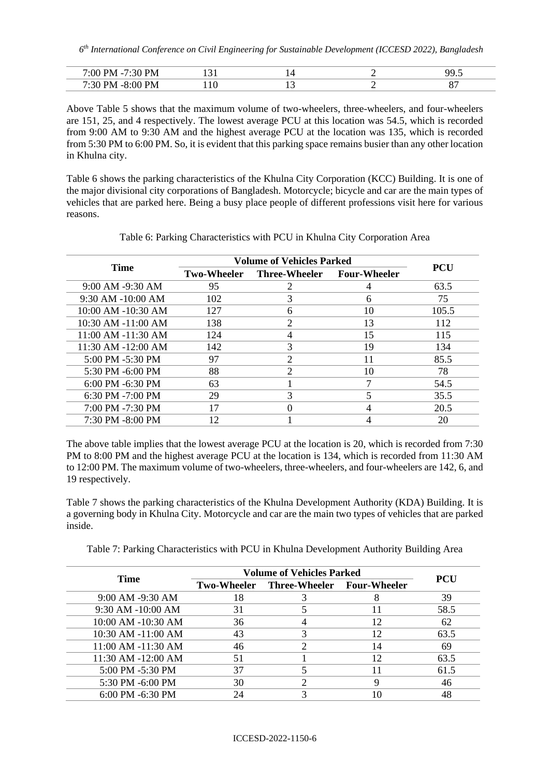| $\cdot$ ()(<br>v      | _____ |  | ۵O<br> |
|-----------------------|-------|--|--------|
| ⊃M⊏<br>M<br>31<br>- ^ |       |  | n –    |

Above Table 5 shows that the maximum volume of two-wheelers, three-wheelers, and four-wheelers are 151, 25, and 4 respectively. The lowest average PCU at this location was 54.5, which is recorded from 9:00 AM to 9:30 AM and the highest average PCU at the location was 135, which is recorded from 5:30 PM to 6:00 PM. So, it is evident that this parking space remains busier than any other location in Khulna city.

Table 6 shows the parking characteristics of the Khulna City Corporation (KCC) Building. It is one of the major divisional city corporations of Bangladesh. Motorcycle; bicycle and car are the main types of vehicles that are parked here. Being a busy place people of different professions visit here for various reasons.

|                        |                    | <b>Volume of Vehicles Parked</b> |    |            |
|------------------------|--------------------|----------------------------------|----|------------|
| <b>Time</b>            | <b>Two-Wheeler</b> | Three-Wheeler Four-Wheeler       |    | <b>PCU</b> |
| 9:00 AM -9:30 AM       | 95                 |                                  |    | 63.5       |
| $9:30$ AM $-10:00$ AM  | 102                |                                  | 6  | 75         |
| 10:00 AM -10:30 AM     | 127                | 6                                | 10 | 105.5      |
| $10:30$ AM $-11:00$ AM | 138                | $\overline{c}$                   | 13 | 112        |
| 11:00 AM -11:30 AM     | 124                | 4                                | 15 | 115        |
| 11:30 AM -12:00 AM     | 142                | 3                                | 19 | 134        |
| 5:00 PM -5:30 PM       | 97                 | ↑                                | 11 | 85.5       |
| 5:30 PM -6:00 PM       | 88                 | 2                                | 10 | 78         |
| $6:00$ PM $-6:30$ PM   | 63                 |                                  |    | 54.5       |
| $6:30$ PM $-7:00$ PM   | 29                 | 3                                |    | 35.5       |
| 7:00 PM -7:30 PM       | 17                 | 0                                | 4  | 20.5       |
| $7:30$ PM $-8:00$ PM   | 12                 |                                  |    | 20         |

Table 6: Parking Characteristics with PCU in Khulna City Corporation Area

The above table implies that the lowest average PCU at the location is 20, which is recorded from 7:30 PM to 8:00 PM and the highest average PCU at the location is 134, which is recorded from 11:30 AM to 12:00 PM. The maximum volume of two-wheelers, three-wheelers, and four-wheelers are 142, 6, and 19 respectively.

Table 7 shows the parking characteristics of the Khulna Development Authority (KDA) Building. It is a governing body in Khulna City. Motorcycle and car are the main two types of vehicles that are parked inside.

| Table 7: Parking Characteristics with PCU in Khulna Development Authority Building Area |  |  |  |  |  |  |
|-----------------------------------------------------------------------------------------|--|--|--|--|--|--|
|-----------------------------------------------------------------------------------------|--|--|--|--|--|--|

| <b>Time</b>          | <b>Volume of Vehicles Parked</b> |                                        |    |            |
|----------------------|----------------------------------|----------------------------------------|----|------------|
|                      |                                  | Two-Wheeler Three-Wheeler Four-Wheeler |    | <b>PCU</b> |
| 9:00 AM -9:30 AM     | 18                               |                                        |    | 39         |
| 9:30 AM -10:00 AM    | 31                               |                                        | 11 | 58.5       |
| 10:00 AM -10:30 AM   | 36                               |                                        | 12 | 62         |
| 10:30 AM -11:00 AM   | 43                               |                                        | 12 | 63.5       |
| 11:00 AM -11:30 AM   | 46                               |                                        | 14 | 69         |
| 11:30 AM -12:00 AM   | 51                               |                                        | 12 | 63.5       |
| 5:00 PM -5:30 PM     | 37                               |                                        |    | 61.5       |
| 5:30 PM -6:00 PM     | 30                               |                                        |    | 46         |
| $6:00$ PM $-6:30$ PM | 24                               |                                        |    | 48         |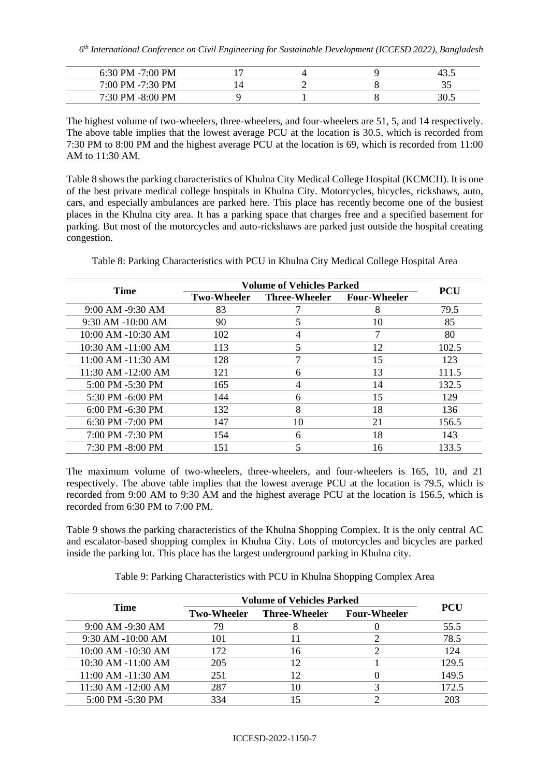| 6:30 PM $-7:00$ PM |  | ⊤. ). |
|--------------------|--|-------|
| 7:00 PM -7:30 PM   |  | ້~    |
| 7:30 PM -8:00 PM   |  |       |

The highest volume of two-wheelers, three-wheelers, and four-wheelers are 51, 5, and 14 respectively. The above table implies that the lowest average PCU at the location is 30.5, which is recorded from 7:30 PM to 8:00 PM and the highest average PCU at the location is 69, which is recorded from 11:00 AM to 11:30 AM.

Table 8 shows the parking characteristics of Khulna City Medical College Hospital (KCMCH). It is one of the best private medical college hospitals in Khulna City. Motorcycles, bicycles, rickshaws, auto, cars, and especially ambulances are parked here. This place has recently become one of the busiest places in the Khulna city area. It has a parking space that charges free and a specified basement for parking. But most of the motorcycles and auto-rickshaws are parked just outside the hospital creating congestion.

|                        | <b>Volume of Vehicles Parked</b> |               |                     |       |
|------------------------|----------------------------------|---------------|---------------------|-------|
| <b>Time</b>            | <b>Two-Wheeler</b>               | Three-Wheeler | <b>Four-Wheeler</b> | PCU   |
| 9:00 AM -9:30 AM       | 83                               |               | 8                   | 79.5  |
| $9:30$ AM $-10:00$ AM  | 90                               |               | 10                  | 85    |
| 10:00 AM -10:30 AM     | 102                              |               |                     | 80    |
| $10:30$ AM $-11:00$ AM | 113                              |               | 12                  | 102.5 |
| 11:00 AM -11:30 AM     | 128                              |               | 15                  | 123   |
| 11:30 AM -12:00 AM     | 121                              | 6             | 13                  | 111.5 |
| 5:00 PM -5:30 PM       | 165                              | 4             | 14                  | 132.5 |
| 5:30 PM -6:00 PM       | 144                              | 6             | 15                  | 129   |
| $6:00$ PM $-6:30$ PM   | 132                              | 8             | 18                  | 136   |
| 6:30 PM -7:00 PM       | 147                              | 10            | 21                  | 156.5 |
| 7:00 PM -7:30 PM       | 154                              | 6             | 18                  | 143   |
| $7:30$ PM $-8:00$ PM   | 151                              |               | 16                  | 133.5 |

Table 8: Parking Characteristics with PCU in Khulna City Medical College Hospital Area

The maximum volume of two-wheelers, three-wheelers, and four-wheelers is 165, 10, and 21 respectively. The above table implies that the lowest average PCU at the location is 79.5, which is recorded from 9:00 AM to 9:30 AM and the highest average PCU at the location is 156.5, which is recorded from 6:30 PM to 7:00 PM.

Table 9 shows the parking characteristics of the Khulna Shopping Complex. It is the only central AC and escalator-based shopping complex in Khulna City. Lots of motorcycles and bicycles are parked inside the parking lot. This place has the largest underground parking in Khulna city.

Table 9: Parking Characteristics with PCU in Khulna Shopping Complex Area

| <b>Time</b>            | <b>Volume of Vehicles Parked</b> |               |                     |            |
|------------------------|----------------------------------|---------------|---------------------|------------|
|                        | <b>Two-Wheeler</b>               | Three-Wheeler | <b>Four-Wheeler</b> | <b>PCU</b> |
| 9:00 AM -9:30 AM       | 79                               |               |                     | 55.5       |
| $9:30$ AM $-10:00$ AM  | 101                              |               |                     | 78.5       |
| 10:00 AM -10:30 AM     | 172                              | 16            |                     | 124        |
| 10:30 AM -11:00 AM     | 205                              | 12            |                     | 129.5      |
| $11:00$ AM $-11:30$ AM | 251                              | 12            |                     | 149.5      |
| 11:30 AM -12:00 AM     | 287                              | 10            |                     | 172.5      |
| 5:00 PM -5:30 PM       | 334                              |               |                     | 203        |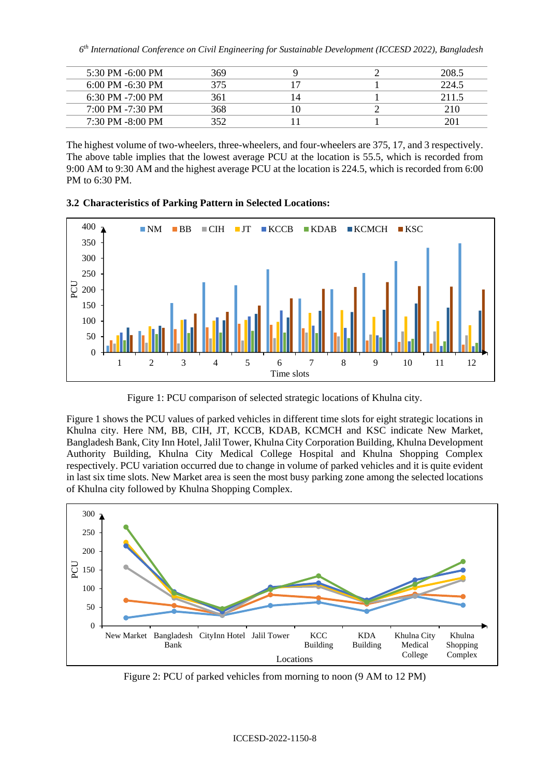*6 th International Conference on Civil Engineering for Sustainable Development (ICCESD 2022), Bangladesh*

| 5:30 PM $-6:00$ PM   | 369 |  | 208.5 |
|----------------------|-----|--|-------|
| $6:00$ PM $-6:30$ PM | 375 |  | 224.5 |
| $6:30$ PM $-7:00$ PM | 361 |  | 2115  |
| $7:00$ PM $-7:30$ PM | 368 |  |       |
| $7:30$ PM $-8:00$ PM |     |  |       |

The highest volume of two-wheelers, three-wheelers, and four-wheelers are 375, 17, and 3 respectively. The above table implies that the lowest average PCU at the location is 55.5, which is recorded from 9:00 AM to 9:30 AM and the highest average PCU at the location is 224.5, which is recorded from 6:00 PM to 6:30 PM.

### **3.2 Characteristics of Parking Pattern in Selected Locations:**



Figure 1: PCU comparison of selected strategic locations of Khulna city.

Figure 1 shows the PCU values of parked vehicles in different time slots for eight strategic locations in Khulna city. Here NM, BB, CIH, JT, KCCB, KDAB, KCMCH and KSC indicate New Market, Bangladesh Bank, City Inn Hotel, Jalil Tower, Khulna City Corporation Building, Khulna Development Authority Building, Khulna City Medical College Hospital and Khulna Shopping Complex respectively. PCU variation occurred due to change in volume of parked vehicles and it is quite evident in last six time slots. New Market area is seen the most busy parking zone among the selected locations of Khulna city followed by Khulna Shopping Complex.



Figure 2: PCU of parked vehicles from morning to noon (9 AM to 12 PM)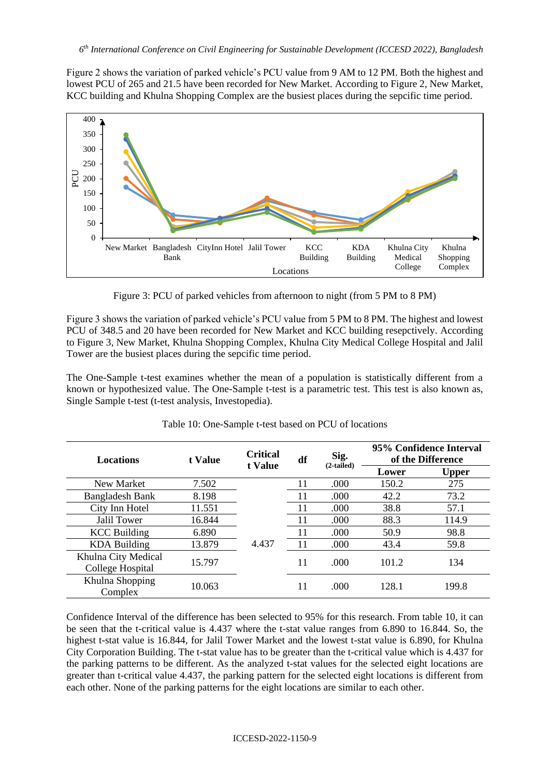Figure 2 shows the variation of parked vehicle's PCU value from 9 AM to 12 PM. Both the highest and lowest PCU of 265 and 21.5 have been recorded for New Market. According to Figure 2, New Market, KCC building and Khulna Shopping Complex are the busiest places during the sepcific time period.



Figure 3: PCU of parked vehicles from afternoon to night (from 5 PM to 8 PM)

Figure 3 shows the variation of parked vehicle's PCU value from 5 PM to 8 PM. The highest and lowest PCU of 348.5 and 20 have been recorded for New Market and KCC building resepctively. According to Figure 3, New Market, Khulna Shopping Complex, Khulna City Medical College Hospital and Jalil Tower are the busiest places during the sepcific time period.

The One-Sample t-test examines whether the mean of a population is statistically different from a known or hypothesized value. The One-Sample t-test is a parametric test. This test is also known as, Single Sample t-test (t-test analysis, Investopedia).

| <b>Locations</b>                        | t Value | <b>Critical</b><br>t Value | df | Sig.<br>$(2-tailed)$ | 95% Confidence Interval<br>of the Difference |       |
|-----------------------------------------|---------|----------------------------|----|----------------------|----------------------------------------------|-------|
|                                         |         |                            |    |                      | Lower                                        | Upper |
| New Market                              | 7.502   |                            | 11 | .000                 | 150.2                                        | 275   |
| <b>Bangladesh Bank</b>                  | 8.198   |                            | 11 | .000                 | 42.2                                         | 73.2  |
| City Inn Hotel                          | 11.551  |                            | 11 | .000                 | 38.8                                         | 57.1  |
| Jalil Tower                             | 16.844  |                            | 11 | .000                 | 88.3                                         | 114.9 |
| <b>KCC</b> Building                     | 6.890   |                            | 11 | .000                 | 50.9                                         | 98.8  |
| <b>KDA Building</b>                     | 13.879  | 4.437                      | 11 | .000                 | 43.4                                         | 59.8  |
| Khulna City Medical<br>College Hospital | 15.797  |                            | 11 | .000                 | 101.2                                        | 134   |
| Khulna Shopping<br>Complex              | 10.063  |                            | 11 | .000                 | 128.1                                        | 199.8 |

Table 10: One-Sample t-test based on PCU of locations

Confidence Interval of the difference has been selected to 95% for this research. From table 10, it can be seen that the t-critical value is 4.437 where the t-stat value ranges from 6.890 to 16.844. So, the highest t-stat value is 16.844, for Jalil Tower Market and the lowest t-stat value is 6.890, for Khulna City Corporation Building. The t-stat value has to be greater than the t-critical value which is 4.437 for the parking patterns to be different. As the analyzed t-stat values for the selected eight locations are greater than t-critical value 4.437, the parking pattern for the selected eight locations is different from each other. None of the parking patterns for the eight locations are similar to each other.